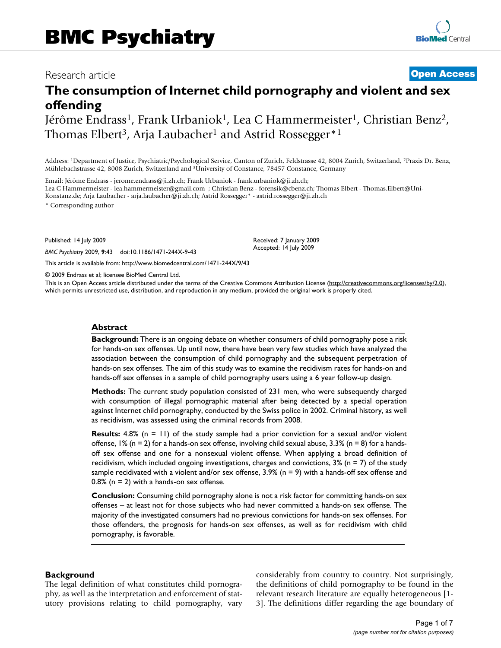# Research article **[Open Access](http://www.biomedcentral.com/info/about/charter/)**

# **The consumption of Internet child pornography and violent and sex offending**

Jérôme Endrass<sup>1</sup>, Frank Urbaniok<sup>1</sup>, Lea C Hammermeister<sup>1</sup>, Christian Benz<sup>2</sup>, Thomas Elbert<sup>3</sup>, Arja Laubacher<sup>1</sup> and Astrid Rossegger<sup>\*1</sup>

Address: 1Department of Justice, Psychiatric/Psychological Service, Canton of Zurich, Feldstrasse 42, 8004 Zurich, Switzerland, 2Praxis Dr. Benz, Mühlebachstrasse 42, 8008 Zurich, Switzerland and 3University of Constance, 78457 Constance, Germany

Email: Jérôme Endrass - jerome.endrass@ji.zh.ch; Frank Urbaniok - frank.urbaniok@ji.zh.ch; Lea C Hammermeister - lea.hammermeister@gmail.com ; Christian Benz - forensik@cbenz.ch; Thomas Elbert - Thomas.Elbert@Uni-Konstanz.de; Arja Laubacher - arja.laubacher@ji.zh.ch; Astrid Rossegger\* - astrid.rossegger@ji.zh.ch \* Corresponding author

Published: 14 July 2009

*BMC Psychiatry* 2009, **9**:43 doi:10.1186/1471-244X-9-43

[This article is available from: http://www.biomedcentral.com/1471-244X/9/43](http://www.biomedcentral.com/1471-244X/9/43)

© 2009 Endrass et al; licensee BioMed Central Ltd.

This is an Open Access article distributed under the terms of the Creative Commons Attribution License [\(http://creativecommons.org/licenses/by/2.0\)](http://creativecommons.org/licenses/by/2.0), which permits unrestricted use, distribution, and reproduction in any medium, provided the original work is properly cited.

Received: 7 January 2009 Accepted: 14 July 2009

#### **Abstract**

**Background:** There is an ongoing debate on whether consumers of child pornography pose a risk for hands-on sex offenses. Up until now, there have been very few studies which have analyzed the association between the consumption of child pornography and the subsequent perpetration of hands-on sex offenses. The aim of this study was to examine the recidivism rates for hands-on and hands-off sex offenses in a sample of child pornography users using a 6 year follow-up design.

**Methods:** The current study population consisted of 231 men, who were subsequently charged with consumption of illegal pornographic material after being detected by a special operation against Internet child pornography, conducted by the Swiss police in 2002. Criminal history, as well as recidivism, was assessed using the criminal records from 2008.

**Results:** 4.8% (n = 11) of the study sample had a prior conviction for a sexual and/or violent offense,  $1\%$  (n = 2) for a hands-on sex offense, involving child sexual abuse, 3.3% (n = 8) for a handsoff sex offense and one for a nonsexual violent offense. When applying a broad definition of recidivism, which included ongoing investigations, charges and convictions,  $3\%$  (n = 7) of the study sample recidivated with a violent and/or sex offense, 3.9% (n = 9) with a hands-off sex offense and 0.8% ( $n = 2$ ) with a hands-on sex offense.

**Conclusion:** Consuming child pornography alone is not a risk factor for committing hands-on sex offenses – at least not for those subjects who had never committed a hands-on sex offense. The majority of the investigated consumers had no previous convictions for hands-on sex offenses. For those offenders, the prognosis for hands-on sex offenses, as well as for recidivism with child pornography, is favorable.

#### **Background**

The legal definition of what constitutes child pornography, as well as the interpretation and enforcement of statutory provisions relating to child pornography, vary considerably from country to country. Not surprisingly, the definitions of child pornography to be found in the relevant research literature are equally heterogeneous [1- 3]. The definitions differ regarding the age boundary of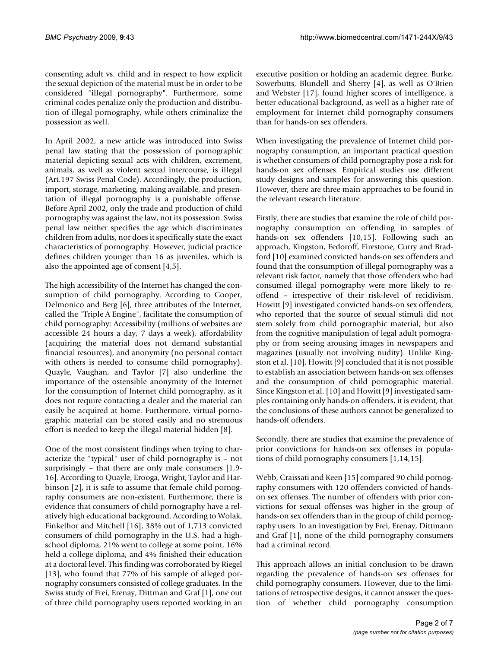consenting adult vs. child and in respect to how explicit the sexual depiction of the material must be in order to be considered "illegal pornography". Furthermore, some criminal codes penalize only the production and distribution of illegal pornography, while others criminalize the possession as well.

In April 2002, a new article was introduced into Swiss penal law stating that the possession of pornographic material depicting sexual acts with children, excrement, animals, as well as violent sexual intercourse, is illegal (Art.197 Swiss Penal Code). Accordingly, the production, import, storage, marketing, making available, and presentation of illegal pornography is a punishable offense. Before April 2002, only the trade and production of child pornography was against the law, not its possession. Swiss penal law neither specifies the age which discriminates children from adults, nor does it specifically state the exact characteristics of pornography. However, judicial practice defines children younger than 16 as juveniles, which is also the appointed age of consent [4,5].

The high accessibility of the Internet has changed the consumption of child pornography. According to Cooper, Delmonico and Berg [6], three attributes of the Internet, called the "Triple A Engine", facilitate the consumption of child pornography: Accessibility (millions of websites are accessible 24 hours a day, 7 days a week), affordability (acquiring the material does not demand substantial financial resources), and anonymity (no personal contact with others is needed to consume child pornography). Quayle, Vaughan, and Taylor [7] also underline the importance of the ostensible anonymity of the Internet for the consumption of Internet child pornography, as it does not require contacting a dealer and the material can easily be acquired at home. Furthermore, virtual pornographic material can be stored easily and no strenuous effort is needed to keep the illegal material hidden [8].

One of the most consistent findings when trying to characterize the "typical" user of child pornography is – not surprisingly – that there are only male consumers [1,9- 16]. According to Quayle, Erooga, Wright, Taylor and Harbinson [2], it is safe to assume that female child pornography consumers are non-existent. Furthermore, there is evidence that consumers of child pornography have a relatively high educational background. According to Wolak, Finkelhor and Mitchell [16], 38% out of 1,713 convicted consumers of child pornography in the U.S. had a highschool diploma, 21% went to college at some point, 16% held a college diploma, and 4% finished their education at a doctoral level. This finding was corroborated by Riegel [13], who found that 77% of his sample of alleged pornography consumers consisted of college graduates. In the Swiss study of Frei, Erenay, Dittman and Graf [1], one out of three child pornography users reported working in an

executive position or holding an academic degree. Burke, Sowerbutts, Blundell and Sherry [4], as well as O'Brien and Webster [17], found higher scores of intelligence, a better educational background, as well as a higher rate of employment for Internet child pornography consumers than for hands-on sex offenders.

When investigating the prevalence of Internet child pornography consumption, an important practical question is whether consumers of child pornography pose a risk for hands-on sex offenses. Empirical studies use different study designs and samples for answering this question. However, there are three main approaches to be found in the relevant research literature.

Firstly, there are studies that examine the role of child pornography consumption on offending in samples of hands-on sex offenders [10,15]. Following such an approach, Kingston, Fedoroff, Firestone, Curry and Bradford [10] examined convicted hands-on sex offenders and found that the consumption of illegal pornography was a relevant risk factor, namely that those offenders who had consumed illegal pornography were more likely to reoffend – irrespective of their risk-level of recidivism. Howitt [9] investigated convicted hands-on sex offenders, who reported that the source of sexual stimuli did not stem solely from child pornographic material, but also from the cognitive manipulation of legal adult pornography or from seeing arousing images in newspapers and magazines (usually not involving nudity). Unlike Kingston et al. [10], Howitt [9] concluded that it is not possible to establish an association between hands-on sex offenses and the consumption of child pornographic material. Since Kingston et al. [10] and Howitt [9] investigated samples containing only hands-on offenders, it is evident, that the conclusions of these authors cannot be generalized to hands-off offenders.

Secondly, there are studies that examine the prevalence of prior convictions for hands-on sex offenses in populations of child pornography consumers [1,14,15].

Webb, Craissati and Keen [15] compared 90 child pornography consumers with 120 offenders convicted of handson sex offenses. The number of offenders with prior convictions for sexual offenses was higher in the group of hands-on sex offenders than in the group of child pornography users. In an investigation by Frei, Erenay, Dittmann and Graf [1], none of the child pornography consumers had a criminal record.

This approach allows an initial conclusion to be drawn regarding the prevalence of hands-on sex offenses for child pornography consumers. However, due to the limitations of retrospective designs, it cannot answer the question of whether child pornography consumption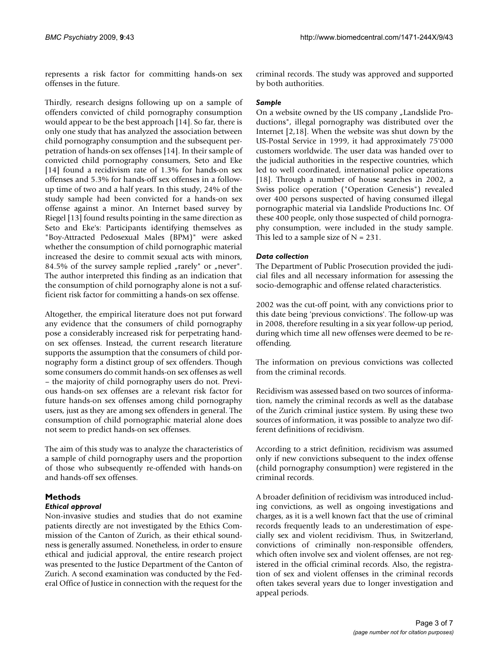represents a risk factor for committing hands-on sex offenses in the future.

Thirdly, research designs following up on a sample of offenders convicted of child pornography consumption would appear to be the best approach [14]. So far, there is only one study that has analyzed the association between child pornography consumption and the subsequent perpetration of hands-on sex offenses [14]. In their sample of convicted child pornography consumers, Seto and Eke [14] found a recidivism rate of 1.3% for hands-on sex offenses and 5.3% for hands-off sex offenses in a followup time of two and a half years. In this study, 24% of the study sample had been convicted for a hands-on sex offense against a minor. An Internet based survey by Riegel [13] found results pointing in the same direction as Seto and Eke's: Participants identifying themselves as "Boy-Attracted Pedosexual Males (BPM)" were asked whether the consumption of child pornographic material increased the desire to commit sexual acts with minors, 84.5% of the survey sample replied  $\mu$  rarely" or  $\mu$  never". The author interpreted this finding as an indication that the consumption of child pornography alone is not a sufficient risk factor for committing a hands-on sex offense.

Altogether, the empirical literature does not put forward any evidence that the consumers of child pornography pose a considerably increased risk for perpetrating handon sex offenses. Instead, the current research literature supports the assumption that the consumers of child pornography form a distinct group of sex offenders. Though some consumers do commit hands-on sex offenses as well – the majority of child pornography users do not. Previous hands-on sex offenses are a relevant risk factor for future hands-on sex offenses among child pornography users, just as they are among sex offenders in general. The consumption of child pornographic material alone does not seem to predict hands-on sex offenses.

The aim of this study was to analyze the characteristics of a sample of child pornography users and the proportion of those who subsequently re-offended with hands-on and hands-off sex offenses.

### **Methods** *Ethical approval*

Non-invasive studies and studies that do not examine patients directly are not investigated by the Ethics Commission of the Canton of Zurich, as their ethical soundness is generally assumed. Nonetheless, in order to ensure ethical and judicial approval, the entire research project was presented to the Justice Department of the Canton of Zurich. A second examination was conducted by the Federal Office of Justice in connection with the request for the criminal records. The study was approved and supported by both authorities.

# *Sample*

On a website owned by the US company "Landslide Productions", illegal pornography was distributed over the Internet [2,18]. When the website was shut down by the US-Postal Service in 1999, it had approximately 75'000 customers worldwide. The user data was handed over to the judicial authorities in the respective countries, which led to well coordinated, international police operations [18]. Through a number of house searches in 2002, a Swiss police operation ("Operation Genesis") revealed over 400 persons suspected of having consumed illegal pornographic material via Landslide Productions Inc. Of these 400 people, only those suspected of child pornography consumption, were included in the study sample. This led to a sample size of  $N = 231$ .

# *Data collection*

The Department of Public Prosecution provided the judicial files and all necessary information for assessing the socio-demographic and offense related characteristics.

2002 was the cut-off point, with any convictions prior to this date being 'previous convictions'. The follow-up was in 2008, therefore resulting in a six year follow-up period, during which time all new offenses were deemed to be reoffending.

The information on previous convictions was collected from the criminal records.

Recidivism was assessed based on two sources of information, namely the criminal records as well as the database of the Zurich criminal justice system. By using these two sources of information, it was possible to analyze two different definitions of recidivism.

According to a strict definition, recidivism was assumed only if new convictions subsequent to the index offense (child pornography consumption) were registered in the criminal records.

A broader definition of recidivism was introduced including convictions, as well as ongoing investigations and charges, as it is a well known fact that the use of criminal records frequently leads to an underestimation of especially sex and violent recidivism. Thus, in Switzerland, convictions of criminally non-responsible offenders, which often involve sex and violent offenses, are not registered in the official criminal records. Also, the registration of sex and violent offenses in the criminal records often takes several years due to longer investigation and appeal periods.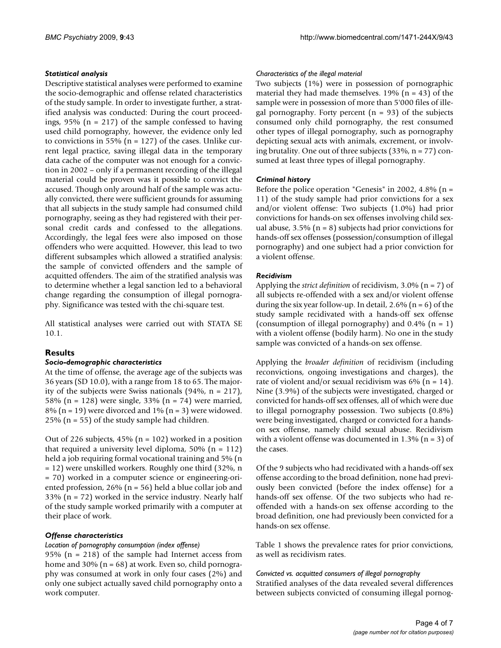# *Statistical analysis*

Descriptive statistical analyses were performed to examine the socio-demographic and offense related characteristics of the study sample. In order to investigate further, a stratified analysis was conducted: During the court proceedings,  $95\%$  (n = 217) of the sample confessed to having used child pornography, however, the evidence only led to convictions in 55% ( $n = 127$ ) of the cases. Unlike current legal practice, saving illegal data in the temporary data cache of the computer was not enough for a conviction in 2002 – only if a permanent recording of the illegal material could be proven was it possible to convict the accused. Though only around half of the sample was actually convicted, there were sufficient grounds for assuming that all subjects in the study sample had consumed child pornography, seeing as they had registered with their personal credit cards and confessed to the allegations. Accordingly, the legal fees were also imposed on those offenders who were acquitted. However, this lead to two different subsamples which allowed a stratified analysis: the sample of convicted offenders and the sample of acquitted offenders. The aim of the stratified analysis was to determine whether a legal sanction led to a behavioral change regarding the consumption of illegal pornography. Significance was tested with the chi-square test.

All statistical analyses were carried out with STATA SE 10.1.

# **Results**

#### *Socio-demographic characteristics*

At the time of offense, the average age of the subjects was 36 years (SD 10.0), with a range from 18 to 65. The majority of the subjects were Swiss nationals (94%, n = 217), 58% (n = 128) were single, 33% (n = 74) were married, 8% ( $n = 19$ ) were divorced and 1% ( $n = 3$ ) were widowed. 25% ( $n = 55$ ) of the study sample had children.

Out of 226 subjects,  $45\%$  (n = 102) worked in a position that required a university level diploma,  $50\%$  (n = 112) held a job requiring formal vocational training and 5% (n = 12) were unskilled workers. Roughly one third (32%, n = 70) worked in a computer science or engineering-oriented profession, 26% (n = 56) held a blue collar job and 33% ( $n = 72$ ) worked in the service industry. Nearly half of the study sample worked primarily with a computer at their place of work.

# *Offense characteristics*

# *Location of pornography consumption (index offense)*

95% (n = 218) of the sample had Internet access from home and 30% ( $n = 68$ ) at work. Even so, child pornography was consumed at work in only four cases (2%) and only one subject actually saved child pornography onto a work computer.

### *Characteristics of the illegal material*

Two subjects (1%) were in possession of pornographic material they had made themselves.  $19\%$  (n = 43) of the sample were in possession of more than 5'000 files of illegal pornography. Forty percent  $(n = 93)$  of the subjects consumed only child pornography, the rest consumed other types of illegal pornography, such as pornography depicting sexual acts with animals, excrement, or involving brutality. One out of three subjects  $(33\%, n = 77)$  consumed at least three types of illegal pornography.

# *Criminal history*

Before the police operation "Genesis" in 2002, 4.8% ( $n =$ 11) of the study sample had prior convictions for a sex and/or violent offense: Two subjects (1.0%) had prior convictions for hands-on sex offenses involving child sexual abuse,  $3.5\%$  (n = 8) subjects had prior convictions for hands-off sex offenses (possession/consumption of illegal pornography) and one subject had a prior conviction for a violent offense.

### *Recidivism*

Applying the *strict definition* of recidivism, 3.0% (n = 7) of all subjects re-offended with a sex and/or violent offense during the six year follow-up. In detail,  $2.6\%$  (n = 6) of the study sample recidivated with a hands-off sex offense (consumption of illegal pornography) and  $0.4\%$  (n = 1) with a violent offense (bodily harm). No one in the study sample was convicted of a hands-on sex offense.

Applying the *broader definition* of recidivism (including reconvictions, ongoing investigations and charges), the rate of violent and/or sexual recidivism was  $6\%$  (n = 14). Nine (3.9%) of the subjects were investigated, charged or convicted for hands-off sex offenses, all of which were due to illegal pornography possession. Two subjects (0.8%) were being investigated, charged or convicted for a handson sex offense, namely child sexual abuse. Recidivism with a violent offense was documented in  $1.3\%$  (n = 3) of the cases.

Of the 9 subjects who had recidivated with a hands-off sex offense according to the broad definition, none had previously been convicted (before the index offense) for a hands-off sex offense. Of the two subjects who had reoffended with a hands-on sex offense according to the broad definition, one had previously been convicted for a hands-on sex offense.

Table 1 shows the prevalence rates for prior convictions, as well as recidivism rates.

#### *Convicted vs. acquitted consumers of illegal pornography*

Stratified analyses of the data revealed several differences between subjects convicted of consuming illegal pornog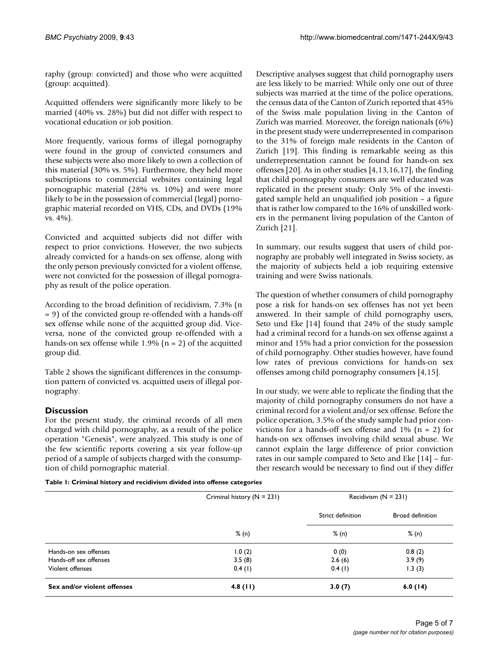raphy (group: convicted) and those who were acquitted (group: acquitted).

Acquitted offenders were significantly more likely to be married (40% vs. 28%) but did not differ with respect to vocational education or job position.

More frequently, various forms of illegal pornography were found in the group of convicted consumers and these subjects were also more likely to own a collection of this material (30% vs. 5%). Furthermore, they held more subscriptions to commercial websites containing legal pornographic material (28% vs. 10%) and were more likely to be in the possession of commercial (legal) pornographic material recorded on VHS, CDs, and DVDs (19% vs. 4%).

Convicted and acquitted subjects did not differ with respect to prior convictions. However, the two subjects already convicted for a hands-on sex offense, along with the only person previously convicted for a violent offense, were not convicted for the possession of illegal pornography as result of the police operation.

According to the broad definition of recidivism, 7.3% (n = 9) of the convicted group re-offended with a hands-off sex offense while none of the acquitted group did. Viceversa, none of the convicted group re-offended with a hands-on sex offense while 1.9% ( $n = 2$ ) of the acquitted group did.

Table 2 shows the significant differences in the consumption pattern of convicted vs. acquitted users of illegal pornography.

# **Discussion**

For the present study, the criminal records of all men charged with child pornography, as a result of the police operation "Genesis", were analyzed. This study is one of the few scientific reports covering a six year follow-up period of a sample of subjects charged with the consumption of child pornographic material.

Descriptive analyses suggest that child pornography users are less likely to be married: While only one out of three subjects was married at the time of the police operations, the census data of the Canton of Zurich reported that 45% of the Swiss male population living in the Canton of Zurich was married. Moreover, the foreign nationals (6%) in the present study were underrepresented in comparison to the 31% of foreign male residents in the Canton of Zurich [19]. This finding is remarkable seeing as this underrepresentation cannot be found for hands-on sex offenses [20]. As in other studies [4,13,16,17], the finding that child pornography consumers are well educated was replicated in the present study: Only 5% of the investigated sample held an unqualified job position – a figure that is rather low compared to the 16% of unskilled workers in the permanent living population of the Canton of Zurich [21].

In summary, our results suggest that users of child pornography are probably well integrated in Swiss society, as the majority of subjects held a job requiring extensive training and were Swiss nationals.

The question of whether consumers of child pornography pose a risk for hands-on sex offenses has not yet been answered. In their sample of child pornography users, Seto und Eke [14] found that 24% of the study sample had a criminal record for a hands-on sex offense against a minor and 15% had a prior conviction for the possession of child pornography. Other studies however, have found low rates of previous convictions for hands-on sex offenses among child pornography consumers [4,15].

In our study, we were able to replicate the finding that the majority of child pornography consumers do not have a criminal record for a violent and/or sex offense. Before the police operation, 3.5% of the study sample had prior convictions for a hands-off sex offense and  $1\%$  (n = 2) for hands-on sex offenses involving child sexual abuse. We cannot explain the large difference of prior conviction rates in our sample compared to Seto and Eke [14] – further research would be necessary to find out if they differ

**Table 1: Criminal history and recidivism divided into offense categories**

|                             | Criminal history $(N = 231)$<br>% (n) | Recidivism $(N = 231)$     |                           |
|-----------------------------|---------------------------------------|----------------------------|---------------------------|
|                             |                                       | Strict definition<br>% (n) | Broad definition<br>% (n) |
|                             |                                       |                            |                           |
| Hands-on sex offenses       | 1.0(2)                                | 0(0)                       | 0.8(2)                    |
| Hands-off sex offenses      | 3.5(8)                                | 2.6(6)                     | 3.9(9)                    |
| Violent offenses            | 0.4(1)                                | 0.4(1)                     | 1.3(3)                    |
| Sex and/or violent offenses | $4.8$ (11)                            | 3.0(7)                     | 6.0(14)                   |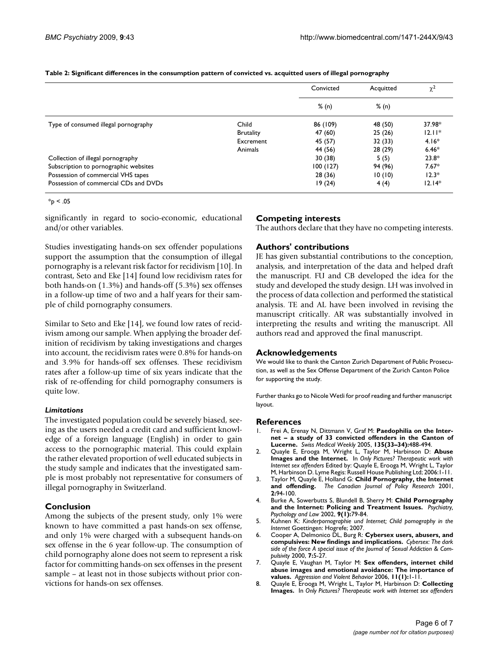|                                       |                  | Convicted | Acquitted | $\chi^2$ |
|---------------------------------------|------------------|-----------|-----------|----------|
|                                       |                  | % (n)     | % (n)     |          |
| Type of consumed illegal pornography  | Child            | 86 (109)  | 48 (50)   | 37.98*   |
|                                       | <b>Brutality</b> | 47 (60)   | 25(26)    | $12.11*$ |
|                                       | Excrement        | 45 (57)   | 32(33)    | $4.16*$  |
|                                       | Animals          | 44 (56)   | 28 (29)   | $6.46*$  |
| Collection of illegal pornography     |                  | 30(38)    | 5(5)      | $23.8*$  |
| Subscription to pornographic websites |                  | 100(127)  | 94 (96)   | $7.67*$  |
| Possession of commercial VHS tapes    |                  | 28(36)    | 10(10)    | $12.3*$  |
| Possession of commercial CDs and DVDs |                  | 19(24)    | 4(4)      | $12.14*$ |

#### **Table 2: Significant differences in the consumption pattern of convicted vs. acquitted users of illegal pornography**

 $*_{p}$  < .05

significantly in regard to socio-economic, educational and/or other variables.

Studies investigating hands-on sex offender populations support the assumption that the consumption of illegal pornography is a relevant risk factor for recidivism [10]. In contrast, Seto and Eke [14] found low recidivism rates for both hands-on (1.3%) and hands-off (5.3%) sex offenses in a follow-up time of two and a half years for their sample of child pornography consumers.

Similar to Seto and Eke [14], we found low rates of recidivism among our sample. When applying the broader definition of recidivism by taking investigations and charges into account, the recidivism rates were 0.8% for hands-on and 3.9% for hands-off sex offenses. These recidivism rates after a follow-up time of six years indicate that the risk of re-offending for child pornography consumers is quite low.

#### *Limitations*

The investigated population could be severely biased, seeing as the users needed a credit card and sufficient knowledge of a foreign language (English) in order to gain access to the pornographic material. This could explain the rather elevated proportion of well educated subjects in the study sample and indicates that the investigated sample is most probably not representative for consumers of illegal pornography in Switzerland.

#### **Conclusion**

Among the subjects of the present study, only 1% were known to have committed a past hands-on sex offense, and only 1% were charged with a subsequent hands-on sex offense in the 6 year follow-up. The consumption of child pornography alone does not seem to represent a risk factor for committing hands-on sex offenses in the present sample – at least not in those subjects without prior convictions for hands-on sex offenses.

# **Competing interests**

The authors declare that they have no competing interests.

### **Authors' contributions**

JE has given substantial contributions to the conception, analysis, and interpretation of the data and helped draft the manuscript. FU and CB developed the idea for the study and developed the study design. LH was involved in the process of data collection and performed the statistical analysis. TE and AL have been involved in revising the manuscript critically. AR was substantially involved in interpreting the results and writing the manuscript. All authors read and approved the final manuscript.

#### **Acknowledgements**

We would like to thank the Canton Zurich Department of Public Prosecution, as well as the Sex Offense Department of the Zurich Canton Police for supporting the study.

Further thanks go to Nicole Wetli for proof reading and further manuscript layout.

#### **References**

- Frei A, Erenay N, Dittmann V, Graf M: [Paedophilia on the Inter](http://www.ncbi.nlm.nih.gov/entrez/query.fcgi?cmd=Retrieve&db=PubMed&dopt=Abstract&list_uids=16208587)**[net – a study of 33 convicted offenders in the Canton of](http://www.ncbi.nlm.nih.gov/entrez/query.fcgi?cmd=Retrieve&db=PubMed&dopt=Abstract&list_uids=16208587) [Lucerne.](http://www.ncbi.nlm.nih.gov/entrez/query.fcgi?cmd=Retrieve&db=PubMed&dopt=Abstract&list_uids=16208587)** *Swiss Medical Weekly* 2005, **135(33–34):**488-494.
- 2. Quayle E, Erooga M, Wright L, Taylor M, Harbinson D: **Abuse Images and the Internet.** In *Only Pictures? Therapeutic work with Internet sex offenders* Edited by: Quayle E, Erooga M, Wright L, Taylor M, Harbinson D. Lyme Regis: Russell House Publishing Ltd; 2006:1-11.
- 3. Taylor M, Quayle E, Holland G: **Child Pornography, the Internet and offending.** *The Canadian Journal of Policy Research* 2001, **2:**94-100.
- 4. Burke A, Sowerbutts S, Blundell B, Sherry M: **Child Pornography and the Internet: Policing and Treatment Issues.** *Psychiatry, Psychology and Law* 2002, **9(1):**79-84.
- 5. Kuhnen K: *Kinderpornographie und Internet; Child pornography in the Internet* Goettingen: Hogrefe; 2007.
- 6. Cooper A, Delmonico DL, Burg R: **Cybersex users, abusers, and compulsives: New findings and implications.** *Cybersex: The dark side of the force A special issue of the Journal of Sexual Addiction & Compulsivity* 2000, **7:**5-27.
- 7. Quayle E, Vaughan M, Taylor M: **Sex offenders, internet child abuse images and emotional avoidance: The importance of values.** *Aggression and Violent Behavior* 2006, **11(1):**1-11.
- 8. Quayle E, Erooga M, Wright L, Taylor M, Harbinson D: **Collecting Images.** In *Only Pictures? Therapeutic work with Internet sex offenders*